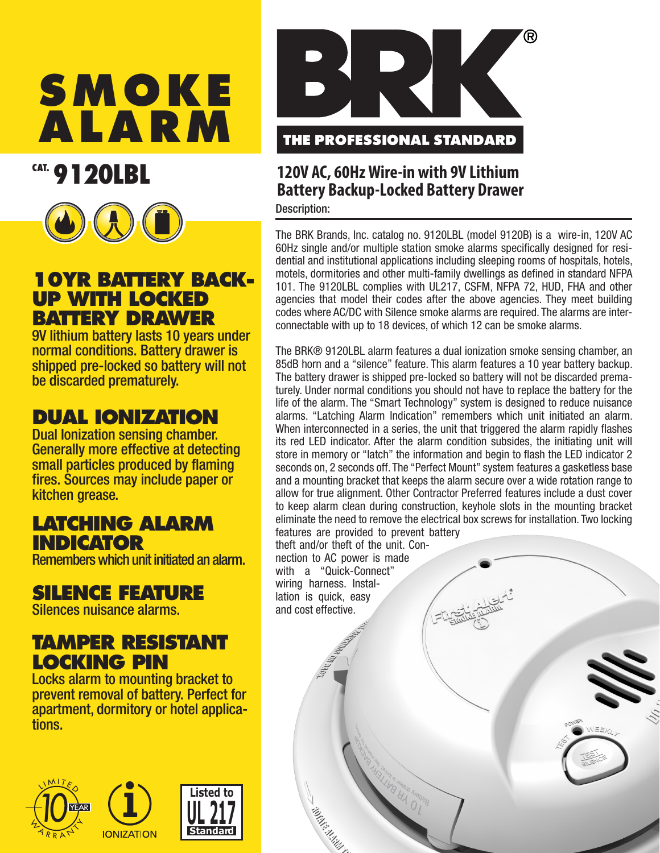# **SMOKE ALARM**



## **10YR BATTERY BACK-UP WITH LOCKED BATTERY DRAWER**

9V lithium battery lasts 10 years under normal conditions. Battery drawer is shipped pre-locked so battery will not be discarded prematurely.

# **DUAL IONIZATION**

Dual Ionization sensing chamber. Generally more effective at detecting small particles produced by flaming fires. Sources may include paper or kitchen grease.

## **LATCHING ALARM INDICATOR**

Remembers which unit initiated an alarm.

## **SILENCE FEATURE**

Silences nuisance alarms.

## **TAMPER RESISTANT LOCKING PIN**

Locks alarm to mounting bracket to prevent removal of battery. Perfect for apartment, dormitory or hotel applications.





## **120V AC, 60Hz Wire-in with 9V Lithium Battery Backup-Locked Battery Drawer**

Description:

The BRK Brands, Inc. catalog no. 9120LBL (model 9120B) is a wire-in, 120V AC 60Hz single and/or multiple station smoke alarms specifically designed for residential and institutional applications including sleeping rooms of hospitals, hotels, motels, dormitories and other multi-family dwellings as defined in standard NFPA 101. The 9120LBL complies with UL217, CSFM, NFPA 72, HUD, FHA and other agencies that model their codes after the above agencies. They meet building codes where AC/DC with Silence smoke alarms are required. The alarms are interconnectable with up to 18 devices, of which 12 can be smoke alarms.

The BRK® 9120LBL alarm features a dual ionization smoke sensing chamber, an 85dB horn and a "silence" feature. This alarm features a 10 year battery backup. The battery drawer is shipped pre-locked so battery will not be discarded prematurely. Under normal conditions you should not have to replace the battery for the life of the alarm. The "Smart Technology" system is designed to reduce nuisance alarms. "Latching Alarm Indication" remembers which unit initiated an alarm. When interconnected in a series, the unit that triggered the alarm rapidly flashes its red LED indicator. After the alarm condition subsides, the initiating unit will store in memory or "latch" the information and begin to flash the LED indicator 2 seconds on, 2 seconds off. The "Perfect Mount" system features a gasketless base and a mounting bracket that keeps the alarm secure over a wide rotation range to allow for true alignment. Other Contractor Preferred features include a dust cover to keep alarm clean during construction, keyhole slots in the mounting bracket eliminate the need to remove the electrical box screws for installation. Two locking features are provided to prevent battery

theft and/or theft of the unit. Connection to AC power is made with a "Quick-Connect" wiring harness. Installation is quick, easy and cost effective.

range (